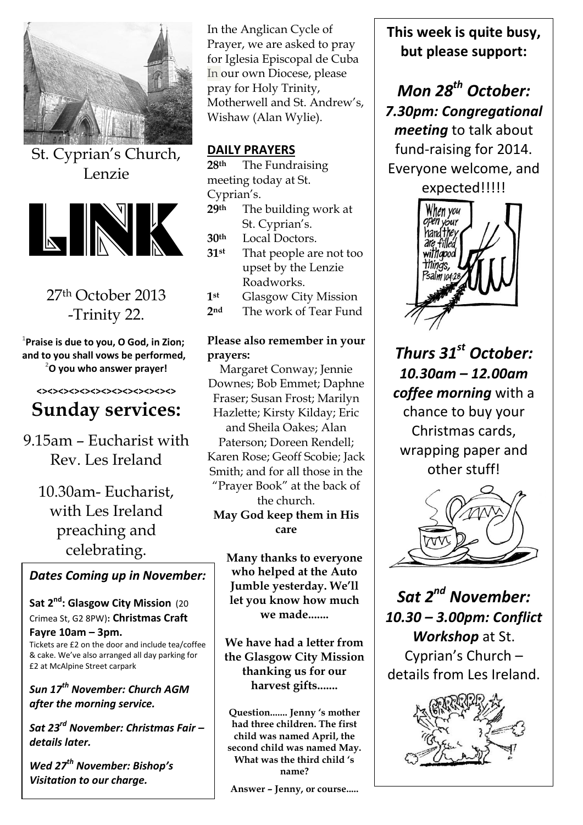

St. Cyprian's Church, Lenzie



## 27th October 2013 -Trinity 22.

**1 Praise is due to you, O God, in Zion; and to you shall vows be performed, <sup>2</sup>O you who answer prayer!**

#### **<><><><><><><><><><><><><>**

# **Sunday services:**

9.15am – Eucharist with Rev. Les Ireland

10.30am- Eucharist, with Les Ireland preaching and celebrating.

### *Dates Coming up in November:*

**Sat 2nd: Glasgow City Mission** (20 Crimea St, G2 8PW)**: Christmas Craft** 

**Fayre 10am – 3pm.** Tickets are £2 on the door and include tea/coffee & cake. We've also arranged all day parking for £2 at McAlpine Street carpark

*Sun 17th November: Church AGM after the morning service.*

*Sat 23rd November: Christmas Fair – details later.*

*Wed 27th November: Bishop's Visitation to our charge.*

In the Anglican Cycle of Prayer, we are asked to pray for Iglesia Episcopal de Cuba In our own Diocese, please pray for Holy Trinity, Motherwell and St. Andrew's, Wishaw (Alan Wylie).

### **DAILY PRAYERS**

**28th** The Fundraising meeting today at St. Cyprian's.

**29th** The building work at St. Cyprian's.

**30th** Local Doctors.

**31st** That people are not too upset by the Lenzie Roadworks.

**1st** Glasgow City Mission

**2nd** The work of Tear Fund

#### **Please also remember in your prayers:**

Margaret Conway; Jennie Downes; Bob Emmet; Daphne Fraser; Susan Frost; Marilyn Hazlette; Kirsty Kilday; Eric and Sheila Oakes; Alan Paterson; Doreen Rendell; Karen Rose; Geoff Scobie; Jack Smith; and for all those in the "Prayer Book" at the back of the church. **May God keep them in His care**

> **Many thanks to everyone who helped at the Auto Jumble yesterday. We'll let you know how much we made.......**

**We have had a letter from the Glasgow City Mission thanking us for our harvest gifts.......**

**Question....... Jenny 's mother had three children. The first child was named April, the second child was named May. What was the third child 's name?**

**Answer – Jenny, or course.....**

**This week is quite busy, but please support:**

*Mon 28th October: 7.30pm: Congregational meeting* to talk about fund-raising for 2014. Everyone welcome, and expected!!!!!



*Thurs 31st October: 10.30am – 12.00am coffee morning* with a chance to buy your Christmas cards, wrapping paper and other stuff!



*Sat 2nd November: 10.30 – 3.00pm: Conflict Workshop* at St. Cyprian's Church – details from Les Ireland.